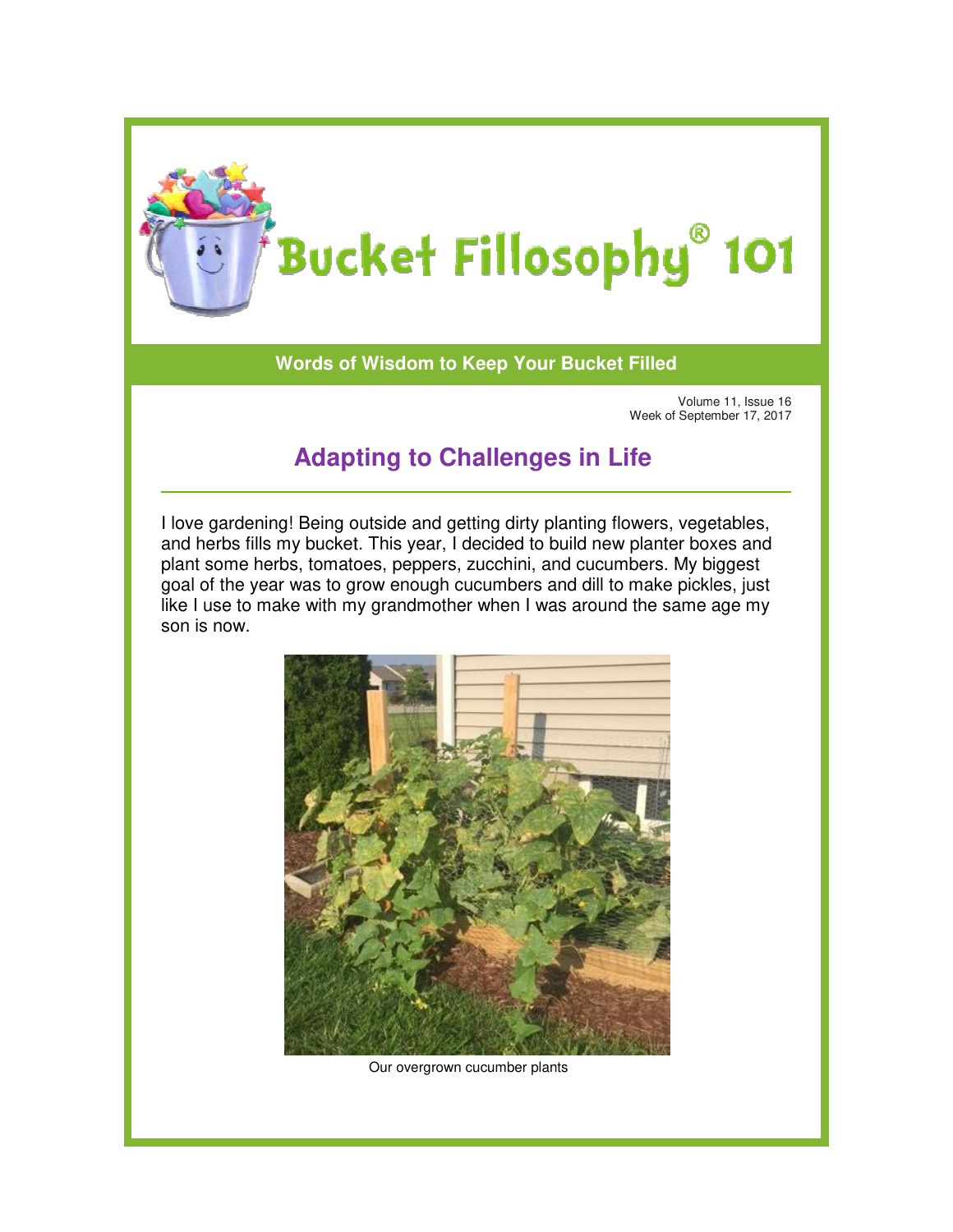

**Words of Wisdom to Keep Your Bucket Filled of Wisdom to** 

Volume 11, Issue 16 Week of September 17, 2017

## **Adapting to Challenges in Life Adapting to Life**

I love gardening! Being outside and getting dirty planting flowers, vegetables, and herbs fills my bucket. This year, I decided to build new planter boxes and plant some herbs, tomatoes, peppers, zucchini, and cucumbers. My goal of the year was to grow enough cucumbers and dill to make pickles, just goal of the year was to grow enough cucumbers and dill to make pickles, just<br>like I use to make with my grandmother when I was around the same age my son is now. outside and getting dirty planting flowers, vegetables<br>›t. This year, I decided to build new planter boxes and<br>toes, peppers, zucchini, and cucumbers. My biggest



Our overgrown cucumber plants